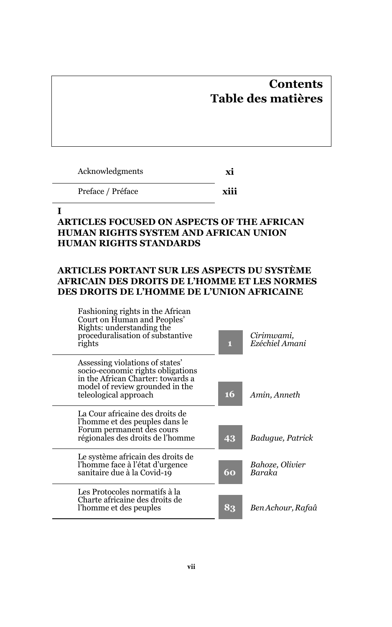# **Contents Table des matières**

Acknowledgments **xi**

Preface / Préface **xiii**

#### **I**

# **ARTICLES FOCUSED ON ASPECTS OF THE AFRICAN HUMAN RIGHTS SYSTEM AND AFRICAN UNION HUMAN RIGHTS STANDARDS**

# **ARTICLES PORTANT SUR LES ASPECTS DU SYSTÈME AFRICAIN DES DROITS DE L'HOMME ET LES NORMES DES DROITS DE L'HOMME DE L'UNION AFRICAINE**

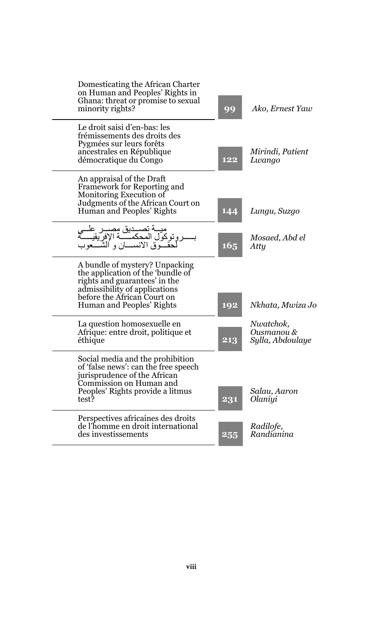| Domesticating the African Charter<br>on Human and Peoples' Rights in<br>Ghana: threat or promise to sexual<br>minority rights?                                                                    | 99              | Ako, Ernest Yaw                             |
|---------------------------------------------------------------------------------------------------------------------------------------------------------------------------------------------------|-----------------|---------------------------------------------|
| Le droit saisi d'en-bas: les<br>frémissements des droits des<br>Pygmées sur leurs forêts<br>ancestrales en République<br>démocratique du Congo                                                    | 122             | Mirindi, Patient<br>Lwango                  |
| An appraisal of the Draft<br>Framework for Reporting and<br>Monitoring Execution of<br>Judgments of the African Court on<br>Human and Peoples' Rights                                             | 144             | Lungu, Suzgo                                |
| ميـــة تصـــديق مصـــر علـــي<br>توكول المحكمـــــة الإفريقيــــــة<br>حقـــوق الانســـان و الشـــعوب                                                                                             | 16 <sub>5</sub> | Mosaed, Abd el<br>Atty                      |
| A bundle of mystery? Unpacking<br>the application of the 'bundle of<br>rights and guarantees' in the<br>admissibility of applications<br>before the African Court on<br>Human and Peoples' Rights | 192             | Nkhata, Mwiza Jo                            |
| La question homosexuelle en<br>Afrique: entre droit, politique et<br>éthique                                                                                                                      | 213             | Nwatchok.<br>Ousmanou &<br>Sylla, Abdoulaye |
| Social media and the prohibition<br>of 'false news': can the free speech<br>jurisprudence of the African<br>Commission on Human and<br>Peoples' Rights provide a litmus<br>test?                  | 231             | Salau, Aaron<br>Olaniyi                     |
| Perspectives africaines des droits<br>de l'homme en droit international<br>des investissements                                                                                                    | 255             | Radilofe,<br>Randianina                     |
|                                                                                                                                                                                                   |                 |                                             |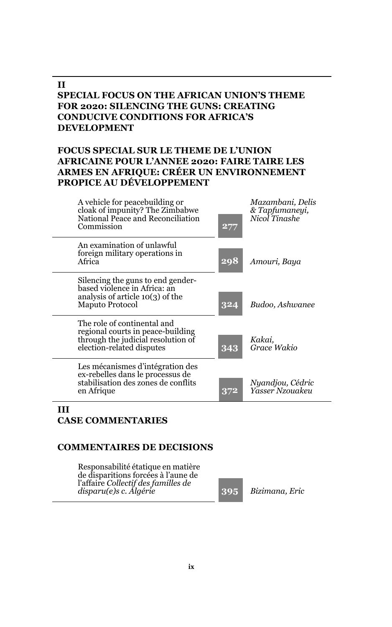#### **II SPECIAL FOCUS ON THE AFRICAN UNION'S THEME FOR 2020: SILENCING THE GUNS: CREATING CONDUCIVE CONDITIONS FOR AFRICA'S DEVELOPMENT**

### **FOCUS SPECIAL SUR LE THEME DE L'UNION AFRICAINE POUR L'ANNEE 2020: FAIRE TAIRE LES ARMES EN AFRIQUE: CRÉER UN ENVIRONNEMENT PROPICE AU DÉVELOPPEMENT**

| A vehicle for peacebuilding or<br>cloak of impunity? The Zimbabwe<br>National Peace and Reconciliation<br>Commission                | 277 | Mazambani, Delis<br>& Tapfumaneyi.<br>Nicol Tinashe |
|-------------------------------------------------------------------------------------------------------------------------------------|-----|-----------------------------------------------------|
| An examination of unlawful<br>foreign military operations in<br>Africa                                                              | 298 | Amouri, Baya                                        |
| Silencing the guns to end gender-<br>based violence in Africa: an<br>analysis of article $10(3)$ of the<br>Maputo Protocol          | 324 | Budoo, Ashwanee                                     |
| The role of continental and<br>regional courts in peace-building<br>through the judicial resolution of<br>election-related disputes | 343 | Kakai.<br>Grace Wakio                               |
| Les mécanismes d'intégration des<br>ex-rebelles dans le processus de<br>stabilisation des zones de conflits<br>en Afrique           | 372 | Nyandjou, Cédric<br>Yasser Nzouakeu                 |

#### **III CASE COMMENTARIES**

#### **COMMENTAIRES DE DECISIONS**

Responsabilité étatique en matière de disparitions forcées à l'aune de l'affaire *Collectif des familles de disparu(e)s c. Algérie* **395** *Bizimana, Eric*